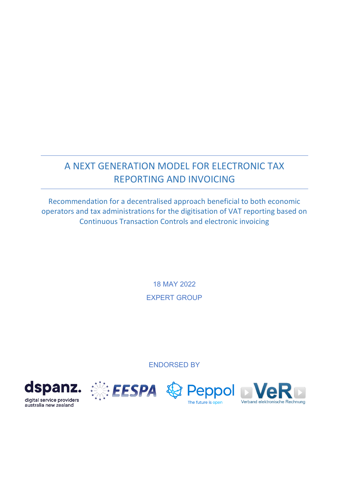# A NEXT GENERATION MODEL FOR ELECTRONIC TAX REPORTING AND INVOICING

Recommendation for a decentralised approach beneficial to both economic operators and tax administrations for the digitisation of VAT reporting based on Continuous Transaction Controls and electronic invoicing

> 18 MAY 2022 EXPERT GROUP

ENDORSED BY







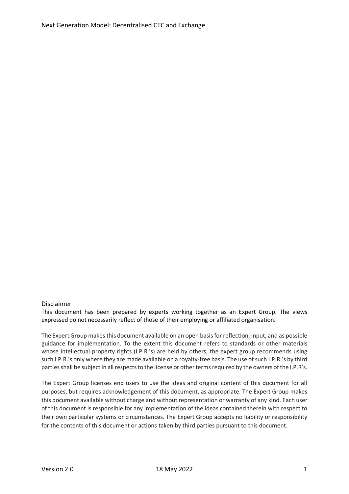#### Disclaimer

This document has been prepared by experts working together as an Expert Group. The views expressed do not necessarily reflect of those of their employing or affiliated organisation.

The Expert Group makes this document available on an open basis for reflection, input, and as possible guidance for implementation. To the extent this document refers to standards or other materials whose intellectual property rights (I.P.R.'s) are held by others, the expert group recommends using such I.P.R.'s only where they are made available on a royalty-free basis. The use of such I.P.R.'s by third parties shall be subject in all respects to the license or other terms required by the owners of the I.P.R's.

The Expert Group licenses end users to use the ideas and original content of this document for all purposes, but requires acknowledgement of this document, as appropriate. The Expert Group makes this document available without charge and without representation or warranty of any kind. Each user of this document is responsible for any implementation of the ideas contained therein with respect to their own particular systems or circumstances. The Expert Group accepts no liability or responsibility for the contents of this document or actions taken by third parties pursuant to this document.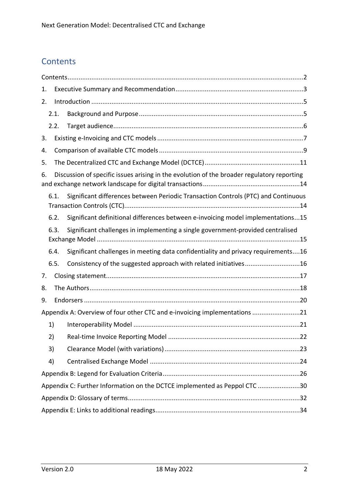# <span id="page-2-0"></span>**Contents**

| 1. |                                                                                         |                                                                                            |  |  |
|----|-----------------------------------------------------------------------------------------|--------------------------------------------------------------------------------------------|--|--|
| 2. |                                                                                         |                                                                                            |  |  |
|    | 2.1.                                                                                    |                                                                                            |  |  |
|    | 2.2.                                                                                    |                                                                                            |  |  |
| 3. |                                                                                         |                                                                                            |  |  |
| 4. |                                                                                         |                                                                                            |  |  |
| 5. |                                                                                         |                                                                                            |  |  |
| 6. |                                                                                         | Discussion of specific issues arising in the evolution of the broader regulatory reporting |  |  |
|    | 6.1.                                                                                    | Significant differences between Periodic Transaction Controls (PTC) and Continuous         |  |  |
|    | 6.2.                                                                                    | Significant definitional differences between e-invoicing model implementations15           |  |  |
|    | Significant challenges in implementing a single government-provided centralised<br>6.3. |                                                                                            |  |  |
|    | 6.4.                                                                                    | Significant challenges in meeting data confidentiality and privacy requirements16          |  |  |
|    | 6.5.                                                                                    | Consistency of the suggested approach with related initiatives16                           |  |  |
| 7. |                                                                                         |                                                                                            |  |  |
| 8. |                                                                                         |                                                                                            |  |  |
| 9. |                                                                                         |                                                                                            |  |  |
|    | Appendix A: Overview of four other CTC and e-invoicing implementations 21               |                                                                                            |  |  |
|    | 1)                                                                                      |                                                                                            |  |  |
|    | 2)                                                                                      |                                                                                            |  |  |
|    | 3)                                                                                      |                                                                                            |  |  |
|    | 4)                                                                                      |                                                                                            |  |  |
|    |                                                                                         |                                                                                            |  |  |
|    | Appendix C: Further Information on the DCTCE implemented as Peppol CTC 30               |                                                                                            |  |  |
|    |                                                                                         |                                                                                            |  |  |
|    |                                                                                         |                                                                                            |  |  |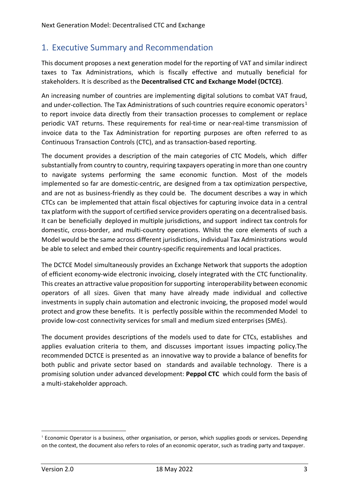## <span id="page-3-0"></span>1. Executive Summary and Recommendation

This document proposes a next generation model for the reporting of VAT and similar indirect taxes to Tax Administrations, which is fiscally effective and mutually beneficial for stakeholders. It is described as the **Decentralised CTC and Exchange Model (DCTCE)**.

An increasing number of countries are implementing digital solutions to combat VAT fraud, and under-collection. The Tax Administrations of such countries require economic operators<sup>[1](#page-3-1)</sup> to report invoice data directly from their transaction processes to complement or replace periodic VAT returns. These requirements for real-time or near-real-time transmission of invoice data to the Tax Administration for reporting purposes are often referred to as Continuous Transaction Controls (CTC), and as transaction-based reporting.

The document provides a description of the main categories of CTC Models, which differ substantially from country to country, requiring taxpayers operating in more than one country to navigate systems performing the same economic function. Most of the models implemented so far are domestic-centric, are designed from a tax optimization perspective, and are not as business-friendly as they could be. The document describes a way in which CTCs can be implemented that attain fiscal objectives for capturing invoice data in a central tax platform with the support of certified service providers operating on a decentralised basis. It can be beneficially deployed in multiple jurisdictions, and support indirect tax controls for domestic, cross-border, and multi-country operations. Whilst the core elements of such a Model would be the same across different jurisdictions, individual Tax Administrations would be able to select and embed their country-specific requirements and local practices.

The DCTCE Model simultaneously provides an Exchange Network that supports the adoption of efficient economy-wide electronic invoicing, closely integrated with the CTC functionality. This creates an attractive value proposition for supporting interoperability between economic operators of all sizes. Given that many have already made individual and collective investments in supply chain automation and electronic invoicing, the proposed model would protect and grow these benefits. It is perfectly possible within the recommended Model to provide low-cost connectivity services for small and medium sized enterprises (SMEs).

The document provides descriptions of the models used to date for CTCs, establishes and applies evaluation criteria to them, and discusses important issues impacting policy.The recommended DCTCE is presented as an innovative way to provide a balance of benefits for both public and private sector based on standards and available technology. There is a promising solution under advanced development: **Peppol CTC** which could form the basis of a multi-stakeholder approach.

<span id="page-3-1"></span><sup>1</sup> Economic Operator is a business, other organisation, or person, which supplies goods or services**.** Depending on the context, the document also refers to roles of an economic operator, such as trading party and taxpayer.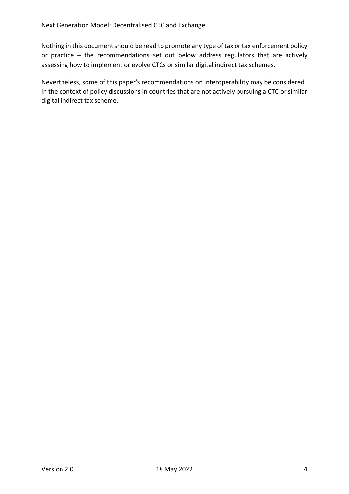Nothing in this document should be read to promote any type of tax or tax enforcement policy or practice – the recommendations set out below address regulators that are actively assessing how to implement or evolve CTCs or similar digital indirect tax schemes.

Nevertheless, some of this paper's recommendations on interoperability may be considered in the context of policy discussions in countries that are not actively pursuing a CTC or similar digital indirect tax scheme.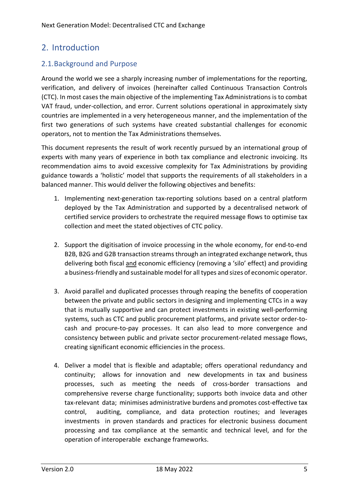## <span id="page-5-0"></span>2. Introduction

### <span id="page-5-1"></span>2.1.Background and Purpose

Around the world we see a sharply increasing number of implementations for the reporting, verification, and delivery of invoices (hereinafter called Continuous Transaction Controls (CTC). In most cases the main objective of the implementing Tax Administrations is to combat VAT fraud, under-collection, and error. Current solutions operational in approximately sixty countries are implemented in a very heterogeneous manner, and the implementation of the first two generations of such systems have created substantial challenges for economic operators, not to mention the Tax Administrations themselves.

This document represents the result of work recently pursued by an international group of experts with many years of experience in both tax compliance and electronic invoicing. Its recommendation aims to avoid excessive complexity for Tax Administrations by providing guidance towards a 'holistic' model that supports the requirements of all stakeholders in a balanced manner. This would deliver the following objectives and benefits:

- 1. Implementing next-generation tax-reporting solutions based on a central platform deployed by the Tax Administration and supported by a decentralised network of certified service providers to orchestrate the required message flows to optimise tax collection and meet the stated objectives of CTC policy.
- 2. Support the digitisation of invoice processing in the whole economy, for end-to-end B2B, B2G and G2B transaction streams through an integrated exchange network, thus delivering both fiscal and economic efficiency (removing a 'silo' effect) and providing a business-friendly and sustainable model for all types and sizes of economic operator.
- 3. Avoid parallel and duplicated processes through reaping the benefits of cooperation between the private and public sectors in designing and implementing CTCs in a way that is mutually supportive and can protect investments in existing well-performing systems, such as CTC and public procurement platforms, and private sector order-tocash and procure-to-pay processes. It can also lead to more convergence and consistency between public and private sector procurement-related message flows, creating significant economic efficiencies in the process.
- 4. Deliver a model that is flexible and adaptable; offers operational redundancy and continuity; allows for innovation and new developments in tax and business processes, such as meeting the needs of cross-border transactions and comprehensive reverse charge functionality; supports both invoice data and other tax-relevant data; minimises administrative burdens and promotes cost-effective tax control, auditing, compliance, and data protection routines; and leverages investments in proven standards and practices for electronic business document processing and tax compliance at the semantic and technical level, and for the operation of interoperable exchange frameworks.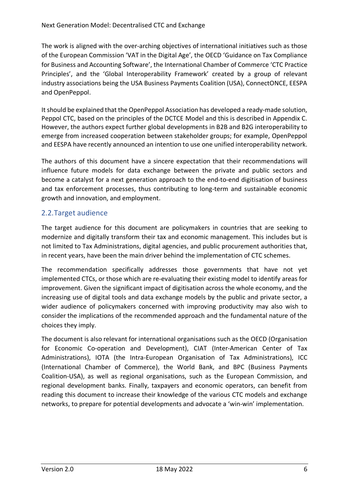The work is aligned with the over-arching objectives of international initiatives such as those of the European Commission 'VAT in the Digital Age', the OECD 'Guidance on Tax Compliance for Business and Accounting Software', the International Chamber of Commerce 'CTC Practice Principles', and the 'Global Interoperability Framework' created by a group of relevant industry associations being the USA Business Payments Coalition (USA), ConnectONCE, EESPA and OpenPeppol.

It should be explained that the OpenPeppol Association has developed a ready-made solution, Peppol CTC, based on the principles of the DCTCE Model and this is described in Appendix C. However, the authors expect further global developments in B2B and B2G interoperability to emerge from increased cooperation between stakeholder groups; for example, OpenPeppol and EESPA have recently announced an intention to use one unified interoperability network.

The authors of this document have a sincere expectation that their recommendations will influence future models for data exchange between the private and public sectors and become a catalyst for a next generation approach to the end-to-end digitisation of business and tax enforcement processes, thus contributing to long-term and sustainable economic growth and innovation, and employment.

### <span id="page-6-0"></span>2.2.Target audience

The target audience for this document are policymakers in countries that are seeking to modernize and digitally transform their tax and economic management. This includes but is not limited to Tax Administrations, digital agencies, and public procurement authorities that, in recent years, have been the main driver behind the implementation of CTC schemes.

The recommendation specifically addresses those governments that have not yet implemented CTCs, or those which are re-evaluating their existing model to identify areas for improvement. Given the significant impact of digitisation across the whole economy, and the increasing use of digital tools and data exchange models by the public and private sector, a wider audience of policymakers concerned with improving productivity may also wish to consider the implications of the recommended approach and the fundamental nature of the choices they imply.

The document is also relevant for international organisations such as the OECD (Organisation for Economic Co-operation and Development), CIAT (Inter-American Center of Tax Administrations), IOTA (the Intra-European Organisation of Tax Administrations), ICC (International Chamber of Commerce), the World Bank, and BPC (Business Payments Coalition-USA), as well as regional organisations, such as the European Commission, and regional development banks. Finally, taxpayers and economic operators, can benefit from reading this document to increase their knowledge of the various CTC models and exchange networks, to prepare for potential developments and advocate a 'win-win' implementation.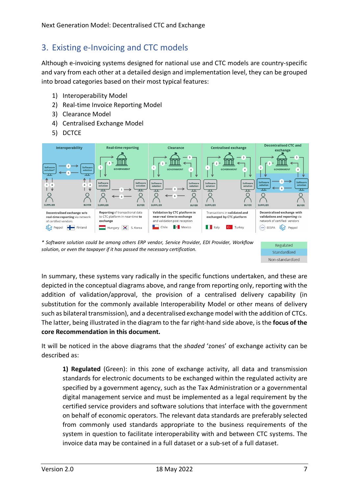## <span id="page-7-0"></span>3. Existing e-Invoicing and CTC models

Although e-invoicing systems designed for national use and CTC models are country-specific and vary from each other at a detailed design and implementation level, they can be grouped into broad categories based on their most typical features:

- 1) Interoperability Model
- 2) Real-time Invoice Reporting Model
- 3) Clearance Model
- 4) Centralised Exchange Model
- 5) DCTCE



*\* Software solution could be among others ERP vendor, Service Provider, EDI Provider, Workflow solution, or even the taxpayer if it has passed the necessary certification.*



In summary, these systems vary radically in the specific functions undertaken, and these are depicted in the conceptual diagrams above, and range from reporting only, reporting with the addition of validation/approval, the provision of a centralised delivery capability (in substitution for the commonly available Interoperability Model or other means of delivery such as bilateral transmission), and a decentralised exchange model with the addition of CTCs. The latter, being illustrated in the diagram to the far right-hand side above, is the **focus of the core Recommendation in this document.**

It will be noticed in the above diagrams that the *shaded* 'zones' of exchange activity can be described as:

**1) Regulated** (Green): in this zone of exchange activity, all data and transmission standards for electronic documents to be exchanged within the regulated activity are specified by a government agency, such as the Tax Administration or a governmental digital management service and must be implemented as a legal requirement by the certified service providers and software solutions that interface with the government on behalf of economic operators. The relevant data standards are preferably selected from commonly used standards appropriate to the business requirements of the system in question to facilitate interoperability with and between CTC systems. The invoice data may be contained in a full dataset or a sub-set of a full dataset.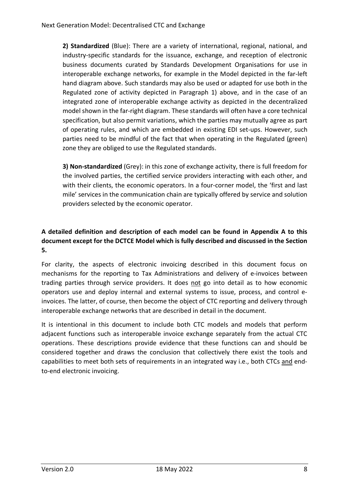**2) Standardized** (Blue): There are a variety of international, regional, national, and industry-specific standards for the issuance, exchange, and reception of electronic business documents curated by Standards Development Organisations for use in interoperable exchange networks, for example in the Model depicted in the far-left hand diagram above. Such standards may also be used or adapted for use both in the Regulated zone of activity depicted in Paragraph 1) above, and in the case of an integrated zone of interoperable exchange activity as depicted in the decentralized model shown in the far-right diagram. These standards will often have a core technical specification, but also permit variations, which the parties may mutually agree as part of operating rules, and which are embedded in existing EDI set-ups. However, such parties need to be mindful of the fact that when operating in the Regulated (green) zone they are obliged to use the Regulated standards.

**3) Non-standardized** (Grey): in this zone of exchange activity, there is full freedom for the involved parties, the certified service providers interacting with each other, and with their clients, the economic operators. In a four-corner model, the 'first and last mile' services in the communication chain are typically offered by service and solution providers selected by the economic operator.

### **A detailed definition and description of each model can be found in Appendix A to this document except for the DCTCE Model which is fully described and discussed in the Section 5.**

For clarity, the aspects of electronic invoicing described in this document focus on mechanisms for the reporting to Tax Administrations and delivery of e-invoices between trading parties through service providers. It does not go into detail as to how economic operators use and deploy internal and external systems to issue, process, and control einvoices. The latter, of course, then become the object of CTC reporting and delivery through interoperable exchange networks that are described in detail in the document.

It is intentional in this document to include both CTC models and models that perform adjacent functions such as interoperable invoice exchange separately from the actual CTC operations. These descriptions provide evidence that these functions can and should be considered together and draws the conclusion that collectively there exist the tools and capabilities to meet both sets of requirements in an integrated way i.e., both CTCs and endto-end electronic invoicing.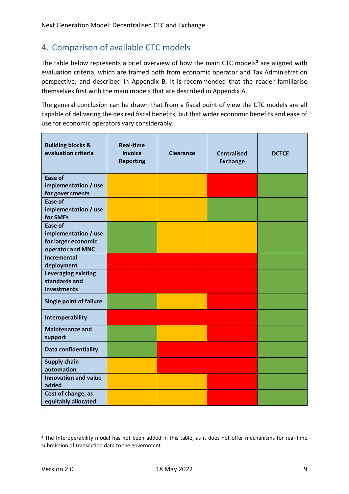## <span id="page-9-0"></span>4. Comparison of available CTC models

The table below represents a brief overview of how the main CTC models**[2](#page-9-1)** are aligned with evaluation criteria, which are framed both from economic operator and Tax Administration perspective, and described in Appendix B. It is recommended that the reader familiarise themselves first with the main models that are described in Appendix A.

The general conclusion can be drawn that from a fiscal point of view the CTC models are all capable of delivering the desired fiscal benefits, but that wider economic benefits and ease of use for economic operators vary considerably.

| <b>Building blocks &amp;</b><br>evaluation criteria | <b>Real-time</b><br><b>Invoice</b><br><b>Reporting</b> | <b>Clearance</b> | <b>Centralised</b><br><b>Exchange</b> | <b>DCTCE</b> |
|-----------------------------------------------------|--------------------------------------------------------|------------------|---------------------------------------|--------------|
| Ease of<br>implementation / use                     |                                                        |                  |                                       |              |
| for governments                                     |                                                        |                  |                                       |              |
| <b>Ease of</b>                                      |                                                        |                  |                                       |              |
| implementation / use<br>for SMEs                    |                                                        |                  |                                       |              |
| <b>Ease of</b>                                      |                                                        |                  |                                       |              |
| implementation / use                                |                                                        |                  |                                       |              |
| for larger economic<br>operator and MNC             |                                                        |                  |                                       |              |
| <b>Incremental</b><br>deployment                    |                                                        |                  |                                       |              |
| <b>Leveraging existing</b>                          |                                                        |                  |                                       |              |
| standards and<br>investments                        |                                                        |                  |                                       |              |
| <b>Single point of failure</b>                      |                                                        |                  |                                       |              |
| Interoperability                                    |                                                        |                  |                                       |              |
| <b>Maintenance and</b><br>support                   |                                                        |                  |                                       |              |
| Data confidentiality                                |                                                        |                  |                                       |              |
| <b>Supply chain</b><br>automation                   |                                                        |                  |                                       |              |
| <b>Innovation and value</b><br>added                |                                                        |                  |                                       |              |
| Cost of change, as<br>equitably allocated           |                                                        |                  |                                       |              |

.

<span id="page-9-1"></span><sup>&</sup>lt;sup>2</sup> The Interoperability model has not been added in this table, as it does not offer mechanisms for real-time submission of transaction data to the government.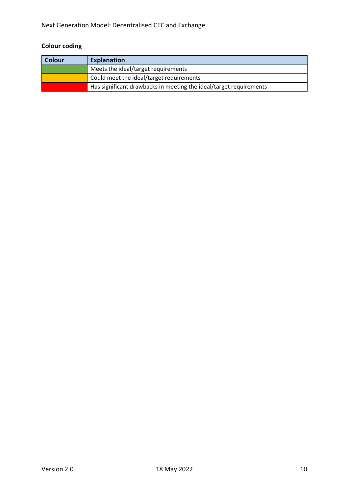## **Colour coding**

| <b>Colour</b> | <b>Explanation</b>                                                 |  |
|---------------|--------------------------------------------------------------------|--|
|               | Meets the ideal/target requirements                                |  |
|               | Could meet the ideal/target requirements                           |  |
|               | Has significant drawbacks in meeting the ideal/target requirements |  |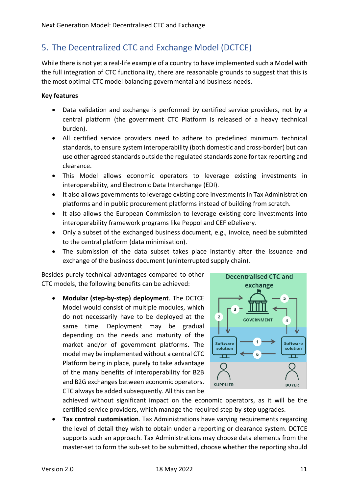## <span id="page-11-0"></span>5. The Decentralized CTC and Exchange Model (DCTCE)

While there is not yet a real-life example of a country to have implemented such a Model with the full integration of CTC functionality, there are reasonable grounds to suggest that this is the most optimal CTC model balancing governmental and business needs.

#### **Key features**

- Data validation and exchange is performed by certified service providers, not by a central platform (the government CTC Platform is released of a heavy technical burden).
- All certified service providers need to adhere to predefined minimum technical standards, to ensure system interoperability (both domestic and cross-border) but can use other agreed standards outside the regulated standards zone for tax reporting and clearance.
- This Model allows economic operators to leverage existing investments in interoperability, and Electronic Data Interchange (EDI).
- It also allows governments to leverage existing core investments in Tax Administration platforms and in public procurement platforms instead of building from scratch.
- It also allows the European Commission to leverage existing core investments into interoperability framework programs like Peppol and CEF eDelivery.
- Only a subset of the exchanged business document, e.g., invoice, need be submitted to the central platform (data minimisation).
- The submission of the data subset takes place instantly after the issuance and exchange of the business document (uninterrupted supply chain).

Besides purely technical advantages compared to other CTC models, the following benefits can be achieved:

• **Modular (step-by-step) deployment**. The DCTCE Model would consist of multiple modules, which do not necessarily have to be deployed at the same time. Deployment may be gradual depending on the needs and maturity of the market and/or of government platforms. The model may be implemented without a central CTC Platform being in place, purely to take advantage of the many benefits of interoperability for B2B and B2G exchanges between economic operators. CTC always be added subsequently. All this can be



achieved without significant impact on the economic operators, as it will be the certified service providers, which manage the required step-by-step upgrades.

• **Tax control customisation**. Tax Administrations have varying requirements regarding the level of detail they wish to obtain under a reporting or clearance system. DCTCE supports such an approach. Tax Administrations may choose data elements from the master-set to form the sub-set to be submitted, choose whether the reporting should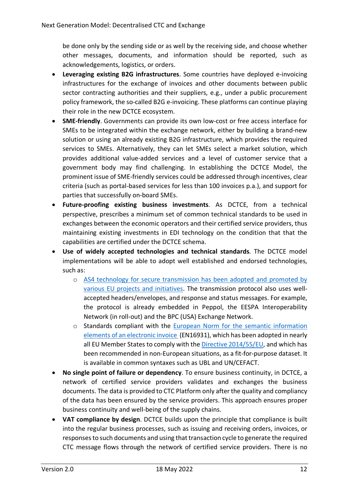be done only by the sending side or as well by the receiving side, and choose whether other messages, documents, and information should be reported, such as acknowledgements, logistics, or orders.

- **Leveraging existing B2G infrastructures**. Some countries have deployed e-invoicing infrastructures for the exchange of invoices and other documents between public sector contracting authorities and their suppliers, e.g., under a public procurement policy framework, the so-called B2G e-invoicing. These platforms can continue playing their role in the new DCTCE ecosystem.
- **SME-friendly**. Governments can provide its own low-cost or free access interface for SMEs to be integrated within the exchange network, either by building a brand-new solution or using an already existing B2G infrastructure, which provides the required services to SMEs. Alternatively, they can let SMEs select a market solution, which provides additional value-added services and a level of customer service that a government body may find challenging. In establishing the DCTCE Model, the prominent issue of SME-friendly services could be addressed through incentives, clear criteria (such as portal-based services for less than 100 invoices p.a.), and support for parties that successfully on-board SMEs.
- **Future-proofing existing business investments**. As DCTCE, from a technical perspective, prescribes a minimum set of common technical standards to be used in exchanges between the economic operators and their certified service providers, thus maintaining existing investments in EDI technology on the condition that that the capabilities are certified under the DCTCE schema.
- **Use of widely accepted technologies and technical standards**. The DCTCE model implementations will be able to adopt well established and endorsed technologies, such as:
	- o [AS4 technology for secure transmission has been adopted and promoted by](https://ec.europa.eu/cefdigital/wiki/download/attachments/82773424/AS4%20eDelivery.pdf?version=1&modificationDate=1623087291117&api=v2)  [various EU projects and initiatives.](https://ec.europa.eu/cefdigital/wiki/download/attachments/82773424/AS4%20eDelivery.pdf?version=1&modificationDate=1623087291117&api=v2) The transmission protocol also uses wellaccepted headers/envelopes, and response and status messages. For example, the protocol is already embedded in Peppol, the EESPA Interoperability Network (in roll-out) and the BPC (USA) Exchange Network.
	- o Standards compliant with the [European Norm for the semantic information](https://ec.europa.eu/cefdigital/wiki/display/CEFDIGITAL/EN+16931+compliance)  [elements of an electronic](https://ec.europa.eu/cefdigital/wiki/display/CEFDIGITAL/EN+16931+compliance) invoice (EN16931), which has been adopted in nearly all EU Member States to comply with the [Directive 2014/55/EU,](https://eur-lex.europa.eu/legal-content/EN/LSU/?uri=CELEX:32014L0055) and which has been recommended in non-European situations, as a fit-for-purpose dataset. It is available in common syntaxes such as UBL and UN/CEFACT.
- **No single point of failure or dependency**. To ensure business continuity, in DCTCE, a network of certified service providers validates and exchanges the business documents. The data is provided to CTC Platform only after the quality and compliancy of the data has been ensured by the service providers. This approach ensures proper business continuity and well-being of the supply chains.
- **VAT compliance by design**. DCTCE builds upon the principle that compliance is built into the regular business processes, such as issuing and receiving orders, invoices, or responses to such documents and using that transaction cycle to generate the required CTC message flows through the network of certified service providers. There is no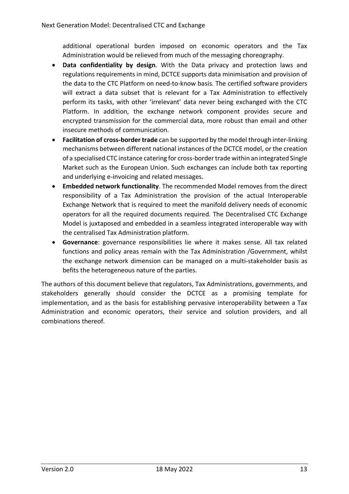additional operational burden imposed on economic operators and the Tax Administration would be relieved from much of the messaging choreography.

- **Data confidentiality by design**. With the Data privacy and protection laws and regulations requirements in mind, DCTCE supports data minimisation and provision of the data to the CTC Platform on need-to-know basis. The certified software providers will extract a data subset that is relevant for a Tax Administration to effectively perform its tasks, with other 'irrelevant' data never being exchanged with the CTC Platform. In addition, the exchange network component provides secure and encrypted transmission for the commercial data, more robust than email and other insecure methods of communication.
- **Facilitation of cross-border trade** can be supported by the model through inter-linking mechanisms between different national instances of the DCTCE model, or the creation of a specialised CTC instance catering for cross-border trade within an integrated Single Market such as the European Union. Such exchanges can include both tax reporting and underlying e-invoicing and related messages.
- **Embedded network functionality**. The recommended Model removes from the direct responsibility of a Tax Administration the provision of the actual Interoperable Exchange Network that is required to meet the manifold delivery needs of economic operators for all the required documents required. The Decentralised CTC Exchange Model is juxtaposed and embedded in a seamless integrated interoperable way with the centralised Tax Administration platform.
- **Governance**: governance responsibilities lie where it makes sense. All tax related functions and policy areas remain with the Tax Administration /Government, whilst the exchange network dimension can be managed on a multi-stakeholder basis as befits the heterogeneous nature of the parties.

The authors of this document believe that regulators, Tax Administrations, governments, and stakeholders generally should consider the DCTCE as a promising template for implementation, and as the basis for establishing pervasive interoperability between a Tax Administration and economic operators, their service and solution providers, and all combinations thereof.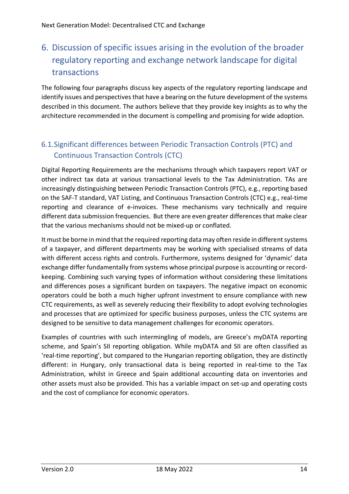# <span id="page-14-0"></span>6. Discussion of specific issues arising in the evolution of the broader regulatory reporting and exchange network landscape for digital transactions

The following four paragraphs discuss key aspects of the regulatory reporting landscape and identify issues and perspectives that have a bearing on the future development of the systems described in this document. The authors believe that they provide key insights as to why the architecture recommended in the document is compelling and promising for wide adoption.

### <span id="page-14-1"></span>6.1.Significant differences between Periodic Transaction Controls (PTC) and Continuous Transaction Controls (CTC)

Digital Reporting Requirements are the mechanisms through which taxpayers report VAT or other indirect tax data at various transactional levels to the Tax Administration. TAs are increasingly distinguishing between Periodic Transaction Controls (PTC), e.g., reporting based on the SAF-T standard, VAT Listing, and Continuous Transaction Controls (CTC) e.g., real-time reporting and clearance of e-invoices. These mechanisms vary technically and require different data submission frequencies. But there are even greater differences that make clear that the various mechanisms should not be mixed-up or conflated.

It must be borne in mind that the required reporting data may often reside in different systems of a taxpayer, and different departments may be working with specialised streams of data with different access rights and controls. Furthermore, systems designed for 'dynamic' data exchange differ fundamentally from systems whose principal purpose is accounting or recordkeeping. Combining such varying types of information without considering these limitations and differences poses a significant burden on taxpayers. The negative impact on economic operators could be both a much higher upfront investment to ensure compliance with new CTC requirements, as well as severely reducing their flexibility to adopt evolving technologies and processes that are optimized for specific business purposes, unless the CTC systems are designed to be sensitive to data management challenges for economic operators.

Examples of countries with such intermingling of models, are Greece's myDATA reporting scheme, and Spain's SII reporting obligation. While myDATA and SII are often classified as 'real-time reporting', but compared to the Hungarian reporting obligation, they are distinctly different: in Hungary, only transactional data is being reported in real-time to the Tax Administration, whilst in Greece and Spain additional accounting data on inventories and other assets must also be provided. This has a variable impact on set-up and operating costs and the cost of compliance for economic operators.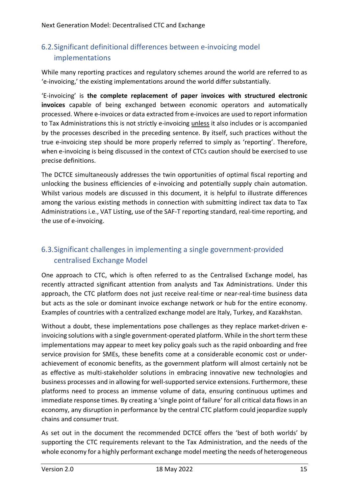### <span id="page-15-0"></span>6.2.Significant definitional differences between e-invoicing model implementations

While many reporting practices and regulatory schemes around the world are referred to as 'e-invoicing,' the existing implementations around the world differ substantially.

'E-invoicing' is **the complete replacement of paper invoices with structured electronic invoices** capable of being exchanged between economic operators and automatically processed. Where e-invoices or data extracted from e-invoices are used to report information to Tax Administrations this is not strictly e-invoicing unless it also includes or is accompanied by the processes described in the preceding sentence. By itself, such practices without the true e-invoicing step should be more properly referred to simply as 'reporting'. Therefore, when e-invoicing is being discussed in the context of CTCs caution should be exercised to use precise definitions.

The DCTCE simultaneously addresses the twin opportunities of optimal fiscal reporting and unlocking the business efficiencies of e-invoicing and potentially supply chain automation. Whilst various models are discussed in this document, it is helpful to illustrate differences among the various existing methods in connection with submitting indirect tax data to Tax Administrations i.e., VAT Listing, use of the SAF-T reporting standard, real-time reporting, and the use of e-invoicing.

### <span id="page-15-1"></span>6.3.Significant challenges in implementing a single government-provided centralised Exchange Model

One approach to CTC, which is often referred to as the Centralised Exchange model, has recently attracted significant attention from analysts and Tax Administrations. Under this approach, the CTC platform does not just receive real-time or near-real-time business data but acts as the sole or dominant invoice exchange network or hub for the entire economy. Examples of countries with a centralized exchange model are Italy, Turkey, and Kazakhstan.

Without a doubt, these implementations pose challenges as they replace market-driven einvoicing solutions with a single government-operated platform. While in the short term these implementations may appear to meet key policy goals such as the rapid onboarding and free service provision for SMEs, these benefits come at a considerable economic cost or underachievement of economic benefits, as the government platform will almost certainly not be as effective as multi-stakeholder solutions in embracing innovative new technologies and business processes and in allowing for well-supported service extensions. Furthermore, these platforms need to process an immense volume of data, ensuring continuous uptimes and immediate response times. By creating a 'single point of failure' for all critical data flows in an economy, any disruption in performance by the central CTC platform could jeopardize supply chains and consumer trust.

As set out in the document the recommended DCTCE offers the 'best of both worlds' by supporting the CTC requirements relevant to the Tax Administration, and the needs of the whole economy for a highly performant exchange model meeting the needs of heterogeneous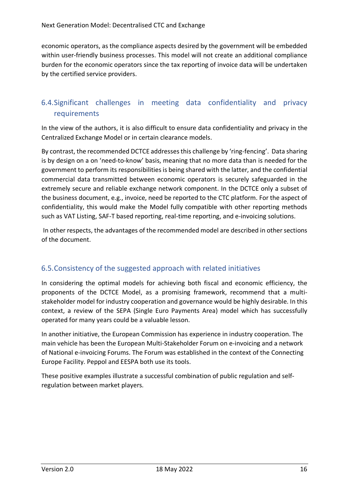economic operators, as the compliance aspects desired by the government will be embedded within user-friendly business processes. This model will not create an additional compliance burden for the economic operators since the tax reporting of invoice data will be undertaken by the certified service providers.

### <span id="page-16-0"></span>6.4.Significant challenges in meeting data confidentiality and privacy requirements

In the view of the authors, it is also difficult to ensure data confidentiality and privacy in the Centralized Exchange Model or in certain clearance models.

By contrast, the recommended DCTCE addresses this challenge by 'ring-fencing'. Data sharing is by design on a on 'need-to-know' basis, meaning that no more data than is needed for the government to perform its responsibilities is being shared with the latter, and the confidential commercial data transmitted between economic operators is securely safeguarded in the extremely secure and reliable exchange network component. In the DCTCE only a subset of the business document, e.g., invoice, need be reported to the CTC platform. For the aspect of confidentiality, this would make the Model fully compatible with other reporting methods such as VAT Listing, SAF-T based reporting, real-time reporting, and e-invoicing solutions.

In other respects, the advantages of the recommended model are described in other sections of the document.

### <span id="page-16-1"></span>6.5.Consistency of the suggested approach with related initiatives

In considering the optimal models for achieving both fiscal and economic efficiency, the proponents of the DCTCE Model, as a promising framework, recommend that a multistakeholder model for industry cooperation and governance would be highly desirable. In this context, a review of the SEPA (Single Euro Payments Area) model which has successfully operated for many years could be a valuable lesson.

In another initiative, the European Commission has experience in industry cooperation. The main vehicle has been the European Multi-Stakeholder Forum on e-invoicing and a network of National e-invoicing Forums. The Forum was established in the context of the Connecting Europe Facility. Peppol and EESPA both use its tools.

These positive examples illustrate a successful combination of public regulation and selfregulation between market players.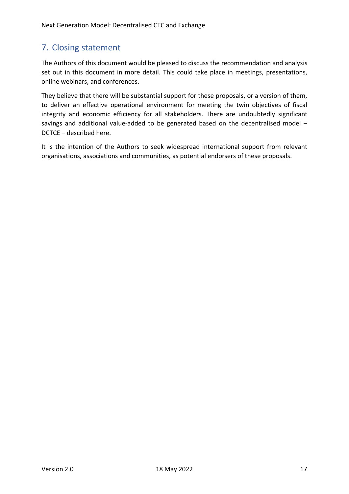## <span id="page-17-0"></span>7. Closing statement

The Authors of this document would be pleased to discuss the recommendation and analysis set out in this document in more detail. This could take place in meetings, presentations, online webinars, and conferences.

They believe that there will be substantial support for these proposals, or a version of them, to deliver an effective operational environment for meeting the twin objectives of fiscal integrity and economic efficiency for all stakeholders. There are undoubtedly significant savings and additional value-added to be generated based on the decentralised model – DCTCE – described here.

It is the intention of the Authors to seek widespread international support from relevant organisations, associations and communities, as potential endorsers of these proposals.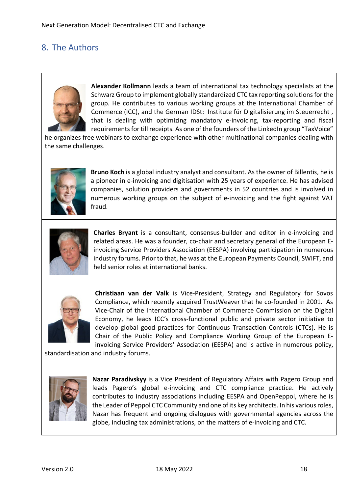## <span id="page-18-0"></span>8. The Authors



**Alexander Kollmann** leads a team of international tax technology specialists at the Schwarz Group to implement globally standardized CTC tax reporting solutions for the group. He contributes to various working groups at the International Chamber of Commerce (ICC), and the German IDSt: Institute für Digitalisierung im Steuerrecht , that is dealing with optimizing mandatory e-invoicing, tax-reporting and fiscal requirements for till receipts. As one of the founders of the LinkedIn group "TaxVoice"

he organizes free webinars to exchange experience with other multinational companies dealing with the same challenges.



**Bruno Koch** is a global industry analyst and consultant. As the owner of Billentis, he is a pioneer in e-invoicing and digitisation with 25 years of experience. He has advised companies, solution providers and governments in 52 countries and is involved in numerous working groups on the subject of e-invoicing and the fight against VAT fraud.



**Charles Bryant** is a consultant, consensus-builder and editor in e-invoicing and related areas. He was a founder, co-chair and secretary general of the European Einvoicing Service Providers Association (EESPA) involving participation in numerous industry forums. Prior to that, he was at the European Payments Council, SWIFT, and held senior roles at international banks.



**Christiaan van der Valk** is Vice-President, Strategy and Regulatory for Sovos Compliance, which recently acquired TrustWeaver that he co-founded in 2001. As Vice-Chair of the International Chamber of Commerce Commission on the Digital Economy, he leads ICC's cross-functional public and private sector initiative to develop global good practices for Continuous Transaction Controls (CTCs). He is Chair of the Public Policy and Compliance Working Group of the European Einvoicing Service Providers' Association (EESPA) and is active in numerous policy,

standardisation and industry forums.



**Nazar Paradivskyy** is a Vice President of Regulatory Affairs with Pagero Group and leads Pagero's global e-invoicing and CTC compliance practice. He actively contributes to industry associations including EESPA and OpenPeppol, where he is the Leader of Peppol CTC Community and one of its key architects. In his various roles, Nazar has frequent and ongoing dialogues with governmental agencies across the globe, including tax administrations, on the matters of e-invoicing and CTC.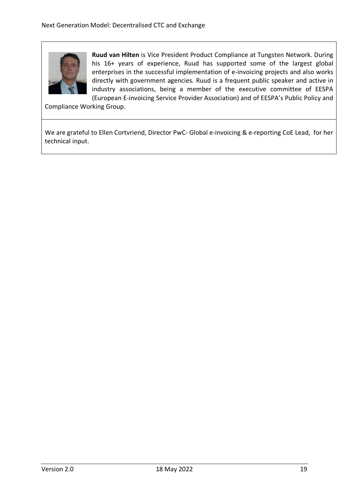

**Ruud van Hilten** is Vice President Product Compliance at Tungsten Network. During his 16+ years of experience, Ruud has supported some of the largest global enterprises in the successful implementation of e-invoicing projects and also works directly with government agencies. Ruud is a frequent public speaker and active in industry associations, being a member of the executive committee of EESPA (European E-invoicing Service Provider Association) and of EESPA's Public Policy and

Compliance Working Group.

We are grateful to Ellen Cortvriend, Director PwC- Global e-invoicing & e-reporting CoE Lead, for her technical input.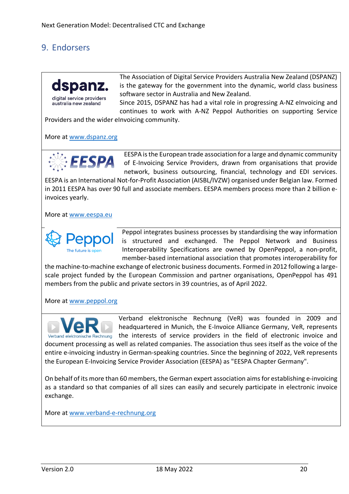## <span id="page-20-0"></span>9. Endorsers



australia new zealand

The Association of Digital Service Providers Australia New Zealand (DSPANZ) is the gateway for the government into the dynamic, world class business software sector in Australia and New Zealand.

Since 2015, DSPANZ has had a vital role in progressing A-NZ eInvoicing and continues to work with A-NZ Peppol Authorities on supporting Service

Providers and the wider eInvoicing community.

More at [www.dspanz.org](http://www.dspanz.org/)



EESPA is the European trade association for a large and dynamic community of E-Invoicing Service Providers, drawn from organisations that provide network, business outsourcing, financial, technology and EDI services.

EESPA is an International Not-for-Profit Association (AISBL/IVZW) organised under Belgian law. Formed in 2011 EESPA has over 90 full and associate members. EESPA members process more than 2 billion einvoices yearly.

More at [www.eespa.eu](http://www.eespa.eu/)



Peppol integrates business processes by standardising the way information is structured and exchanged. The Peppol Network and Business Interoperability Specifications are owned by OpenPeppol, a non-profit, member-based international association that promotes interoperability for

the machine-to-machine exchange of electronic business documents. Formed in 2012 following a largescale project funded by the European Commission and partner organisations, OpenPeppol has 491 members from the public and private sectors in 39 countries, as of April 2022.

More at [www.peppol.org](http://www.peppol.org/)



Verband elektronische Rechnung (VeR) was founded in 2009 and headquartered in Munich, the E-Invoice Alliance Germany, VeR, represents Verband elektronische Rechnung the interests of service providers in the field of electronic invoice and document processing as well as related companies. The association thus sees itself as the voice of the entire e-invoicing industry in German-speaking countries. Since the beginning of 2022, VeR represents the European E-Invoicing Service Provider Association (EESPA) as "EESPA Chapter Germany".

On behalf of its more than 60 members, the German expert association aims for establishing e-invoicing as a standard so that companies of all sizes can easily and securely participate in electronic invoice exchange.

More at [www.verband-e-rechnung.org](http://www.verband-e-rechnung.org/)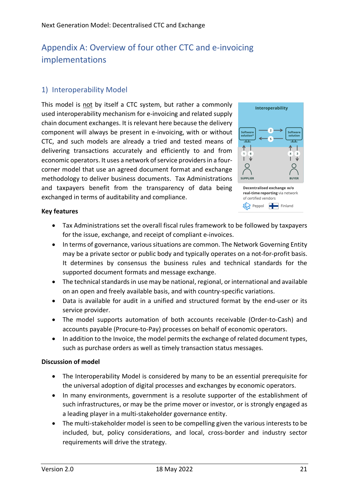# <span id="page-21-0"></span>Appendix A: Overview of four other CTC and e-invoicing implementations

### <span id="page-21-1"></span>1) Interoperability Model

This model is not by itself a CTC system, but rather a commonly used interoperability mechanism for e-invoicing and related supply chain document exchanges. It is relevant here because the delivery component will always be present in e-invoicing, with or without CTC, and such models are already a tried and tested means of delivering transactions accurately and efficiently to and from economic operators. It uses a network of service providers in a fourcorner model that use an agreed document format and exchange methodology to deliver business documents. Tax Administrations and taxpayers benefit from the transparency of data being exchanged in terms of auditability and compliance.



#### **Key features**

- Tax Administrations set the overall fiscal rules framework to be followed by taxpayers for the issue, exchange, and receipt of compliant e-invoices.
- In terms of governance, various situations are common. The Network Governing Entity may be a private sector or public body and typically operates on a not-for-profit basis. It determines by consensus the business rules and technical standards for the supported document formats and message exchange.
- The technical standards in use may be national, regional, or international and available on an open and freely available basis, and with country-specific variations.
- Data is available for audit in a unified and structured format by the end-user or its service provider.
- The model supports automation of both accounts receivable (Order-to-Cash) and accounts payable (Procure-to-Pay) processes on behalf of economic operators.
- In addition to the Invoice, the model permits the exchange of related document types, such as purchase orders as well as timely transaction status messages.

#### **Discussion of model**

- The Interoperability Model is considered by many to be an essential prerequisite for the universal adoption of digital processes and exchanges by economic operators.
- In many environments, government is a resolute supporter of the establishment of such infrastructures, or may be the prime mover or investor, or is strongly engaged as a leading player in a multi-stakeholder governance entity.
- The multi-stakeholder model is seen to be compelling given the various interests to be included, but, policy considerations, and local, cross-border and industry sector requirements will drive the strategy.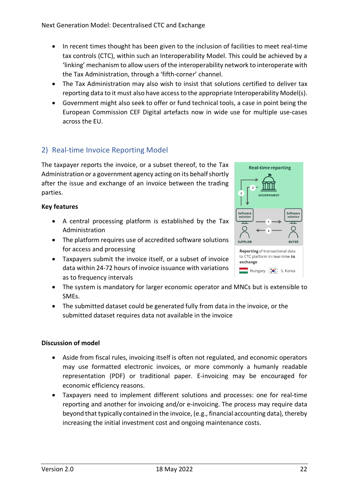- In recent times thought has been given to the inclusion of facilities to meet real-time tax controls (CTC), within such an Interoperability Model. This could be achieved by a 'linking' mechanism to allow users of the interoperability network to interoperate with the Tax Administration, through a 'fifth-corner' channel.
- The Tax Administration may also wish to insist that solutions certified to deliver tax reporting data to it must also have access to the appropriate Interoperability Model(s).
- Government might also seek to offer or fund technical tools, a case in point being the European Commission CEF Digital artefacts now in wide use for multiple use-cases across the EU.

### <span id="page-22-0"></span>2) Real-time Invoice Reporting Model

The taxpayer reports the invoice, or a subset thereof, to the Tax Administration or a government agency acting on its behalf shortly after the issue and exchange of an invoice between the trading parties.

#### **Key features**

- A central processing platform is established by the Tax Administration
- The platform requires use of accredited software solutions for access and processing
- Taxpayers submit the invoice itself, or a subset of invoice data within 24-72 hours of invoice issuance with variations as to frequency intervals
- The system is mandatory for larger economic operator and MNCs but is extensible to SMEs.
- The submitted dataset could be generated fully from data in the invoice, or the submitted dataset requires data not available in the invoice

#### **Discussion of model**

- Aside from fiscal rules, invoicing itself is often not regulated, and economic operators may use formatted electronic invoices, or more commonly a humanly readable representation (PDF) or traditional paper. E-invoicing may be encouraged for economic efficiency reasons.
- Taxpayers need to implement different solutions and processes: one for real-time reporting and another for invoicing and/or e-invoicing. The process may require data beyond that typically contained in the invoice, (e.g., financial accounting data), thereby increasing the initial investment cost and ongoing maintenance costs.

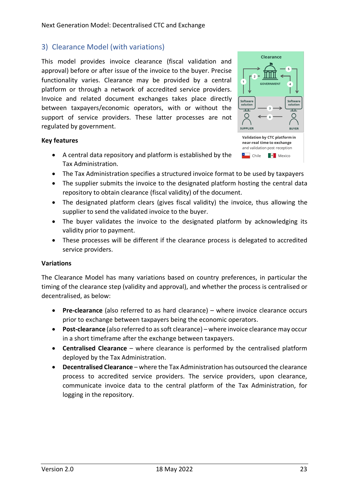#### <span id="page-23-0"></span>3) Clearance Model (with variations)

This model provides invoice clearance (fiscal validation and approval) before or after issue of the invoice to the buyer. Precise functionality varies. Clearance may be provided by a central platform or through a network of accredited service providers. Invoice and related document exchanges takes place directly between taxpayers/economic operators, with or without the support of service providers. These latter processes are not regulated by government.

#### **Key features**

- A central data repository and platform is established by the Tax Administration.
- The Tax Administration specifies a structured invoice format to be used by taxpayers
- The supplier submits the invoice to the designated platform hosting the central data repository to obtain clearance (fiscal validity) of the document.
- The designated platform clears (gives fiscal validity) the invoice, thus allowing the supplier to send the validated invoice to the buyer.
- The buyer validates the invoice to the designated platform by acknowledging its validity prior to payment.
- These processes will be different if the clearance process is delegated to accredited service providers.

#### **Variations**

The Clearance Model has many variations based on country preferences, in particular the timing of the clearance step (validity and approval), and whether the process is centralised or decentralised, as below:

- **Pre-clearance** (also referred to as hard clearance) where invoice clearance occurs prior to exchange between taxpayers being the economic operators.
- **Post-clearance** (also referred to as soft clearance) where invoice clearance may occur in a short timeframe after the exchange between taxpayers.
- **Centralised Clearance**  where clearance is performed by the centralised platform deployed by the Tax Administration.
- **Decentralised Clearance** where the Tax Administration has outsourced the clearance process to accredited service providers. The service providers, upon clearance, communicate invoice data to the central platform of the Tax Administration, for logging in the repository.

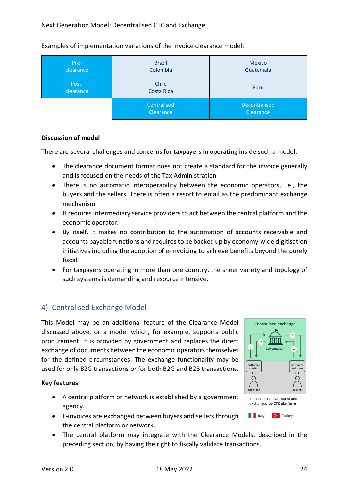| Pre-<br>clearance  | <b>Brazil</b><br>Colombia | Mexico<br>Guatemala               |
|--------------------|---------------------------|-----------------------------------|
| Post-<br>clearance | Chile<br>Costa Rica       | Peru                              |
|                    | Centralised<br>Clearance  | <b>Decentralised</b><br>Clearance |

Examples of implementation variations of the invoice clearance model:

#### **Discussion of model**

There are several challenges and concerns for taxpayers in operating inside such a model:

- The clearance document format does not create a standard for the invoice generally and is focused on the needs of the Tax Administration
- There is no automatic interoperability between the economic operators, i.e., the buyers and the sellers. There is often a resort to email as the predominant exchange mechanism
- It requires intermediary service providers to act between the central platform and the economic operator.
- By itself, it makes no contribution to the automation of accounts receivable and accounts payable functions and requires to be backed up by economy-wide digitisation initiatives including the adoption of e-invoicing to achieve benefits beyond the purely fiscal.
- For taxpayers operating in more than one country, the sheer variety and topology of such systems is demanding and resource intensive.

### <span id="page-24-0"></span>4) Centralised Exchange Model

This Model may be an additional feature of the Clearance Model discussed above, or a model which, for example, supports public procurement. It is provided by government and replaces the direct exchange of documents between the economic operators themselves for the defined circumstances. The exchange functionality may be used for only B2G transactions or for both B2G and B2B transactions.

#### **Key features**

- A central platform or network is established by a government agency.
- E-invoices are exchanged between buyers and sellers through the central platform or network.
- The central platform may integrate with the Clearance Models, described in the preceding section, by having the right to fiscally validate transactions.

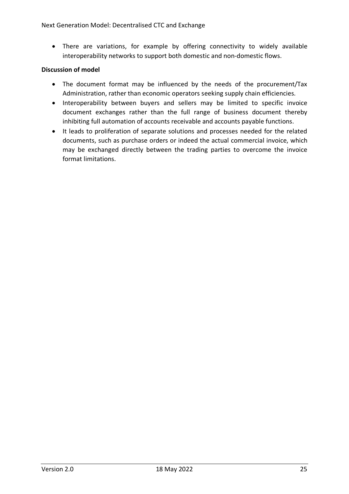• There are variations, for example by offering connectivity to widely available interoperability networks to support both domestic and non-domestic flows.

#### **Discussion of model**

- The document format may be influenced by the needs of the procurement/Tax Administration, rather than economic operators seeking supply chain efficiencies.
- Interoperability between buyers and sellers may be limited to specific invoice document exchanges rather than the full range of business document thereby inhibiting full automation of accounts receivable and accounts payable functions.
- It leads to proliferation of separate solutions and processes needed for the related documents, such as purchase orders or indeed the actual commercial invoice, which may be exchanged directly between the trading parties to overcome the invoice format limitations.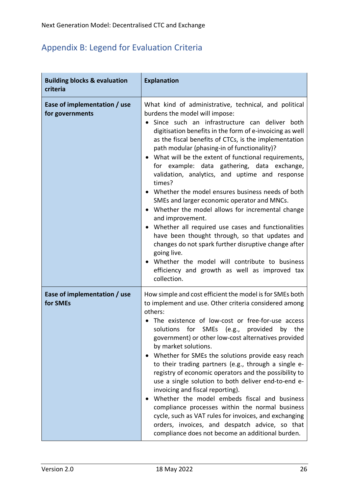# <span id="page-26-0"></span>Appendix B: Legend for Evaluation Criteria

| <b>Building blocks &amp; evaluation</b><br>criteria | <b>Explanation</b>                                                                                                                                                                                                                                                                                                                                                                                                                                                                                                                                                                                                                                                                                                                                                                                                                                                                                                                                                        |
|-----------------------------------------------------|---------------------------------------------------------------------------------------------------------------------------------------------------------------------------------------------------------------------------------------------------------------------------------------------------------------------------------------------------------------------------------------------------------------------------------------------------------------------------------------------------------------------------------------------------------------------------------------------------------------------------------------------------------------------------------------------------------------------------------------------------------------------------------------------------------------------------------------------------------------------------------------------------------------------------------------------------------------------------|
| Ease of implementation / use<br>for governments     | What kind of administrative, technical, and political<br>burdens the model will impose:<br>Since such an infrastructure can deliver both<br>digitisation benefits in the form of e-invoicing as well<br>as the fiscal benefits of CTCs, is the implementation<br>path modular (phasing-in of functionality)?<br>What will be the extent of functional requirements,<br>for example: data gathering, data exchange,<br>validation, analytics, and uptime and response<br>times?<br>• Whether the model ensures business needs of both<br>SMEs and larger economic operator and MNCs.<br>Whether the model allows for incremental change<br>and improvement.<br>• Whether all required use cases and functionalities<br>have been thought through, so that updates and<br>changes do not spark further disruptive change after<br>going live.<br>Whether the model will contribute to business<br>$\bullet$<br>efficiency and growth as well as improved tax<br>collection. |
| Ease of implementation / use<br>for SMEs            | How simple and cost efficient the model is for SMEs both<br>to implement and use. Other criteria considered among<br>others:<br>The existence of low-cost or free-for-use access<br>solutions for SMEs (e.g., provided<br>by the<br>government) or other low-cost alternatives provided<br>by market solutions.<br>Whether for SMEs the solutions provide easy reach<br>to their trading partners (e.g., through a single e-<br>registry of economic operators and the possibility to<br>use a single solution to both deliver end-to-end e-<br>invoicing and fiscal reporting).<br>Whether the model embeds fiscal and business<br>compliance processes within the normal business<br>cycle, such as VAT rules for invoices, and exchanging<br>orders, invoices, and despatch advice, so that<br>compliance does not become an additional burden.                                                                                                                        |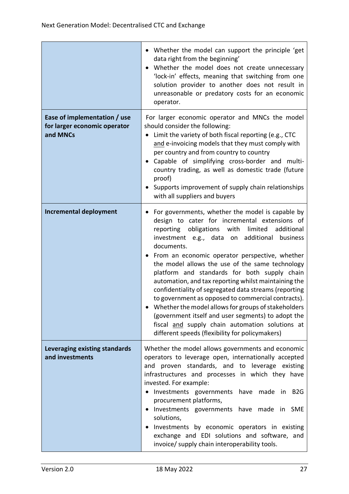|                                                                          | • Whether the model can support the principle 'get<br>data right from the beginning'<br>Whether the model does not create unnecessary<br>'lock-in' effects, meaning that switching from one<br>solution provider to another does not result in<br>unreasonable or predatory costs for an economic<br>operator.                                                                                                                                                                                                                                                                                                                                                                                                                                                             |
|--------------------------------------------------------------------------|----------------------------------------------------------------------------------------------------------------------------------------------------------------------------------------------------------------------------------------------------------------------------------------------------------------------------------------------------------------------------------------------------------------------------------------------------------------------------------------------------------------------------------------------------------------------------------------------------------------------------------------------------------------------------------------------------------------------------------------------------------------------------|
| Ease of implementation / use<br>for larger economic operator<br>and MNCs | For larger economic operator and MNCs the model<br>should consider the following:<br>Limit the variety of both fiscal reporting (e.g., CTC<br>and e-invoicing models that they must comply with<br>per country and from country to country<br>Capable of simplifying cross-border and multi-<br>$\bullet$<br>country trading, as well as domestic trade (future<br>proof)<br>Supports improvement of supply chain relationships<br>with all suppliers and buyers                                                                                                                                                                                                                                                                                                           |
| <b>Incremental deployment</b>                                            | For governments, whether the model is capable by<br>design to cater for incremental extensions of<br>reporting obligations with<br>limited<br>additional<br>investment e.g., data on additional<br>business<br>documents.<br>• From an economic operator perspective, whether<br>the model allows the use of the same technology<br>platform and standards for both supply chain<br>automation, and tax reporting whilst maintaining the<br>confidentiality of segregated data streams (reporting<br>to government as opposed to commercial contracts).<br>Whether the model allows for groups of stakeholders<br>(government itself and user segments) to adopt the<br>fiscal and supply chain automation solutions at<br>different speeds (flexibility for policymakers) |
| Leveraging existing standards<br>and investments                         | Whether the model allows governments and economic<br>operators to leverage open, internationally accepted<br>and proven standards, and to leverage existing<br>infrastructures and processes in which they have<br>invested. For example:<br>Investments governments have made in B2G<br>procurement platforms,<br>Investments governments have made in SME<br>$\bullet$<br>solutions,<br>Investments by economic operators in existing<br>exchange and EDI solutions and software, and<br>invoice/ supply chain interoperability tools.                                                                                                                                                                                                                                   |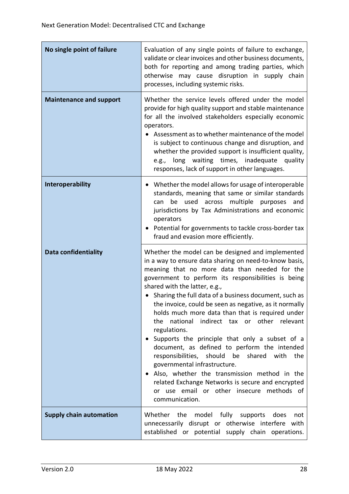| No single point of failure     | Evaluation of any single points of failure to exchange,<br>validate or clear invoices and other business documents,<br>both for reporting and among trading parties, which<br>otherwise may cause disruption in supply chain<br>processes, including systemic risks.                                                                                                                                                                                                                                                                                                                                                                                                                                                                                                                                                                                               |
|--------------------------------|--------------------------------------------------------------------------------------------------------------------------------------------------------------------------------------------------------------------------------------------------------------------------------------------------------------------------------------------------------------------------------------------------------------------------------------------------------------------------------------------------------------------------------------------------------------------------------------------------------------------------------------------------------------------------------------------------------------------------------------------------------------------------------------------------------------------------------------------------------------------|
| <b>Maintenance and support</b> | Whether the service levels offered under the model<br>provide for high quality support and stable maintenance<br>for all the involved stakeholders especially economic<br>operators.<br>Assessment as to whether maintenance of the model<br>is subject to continuous change and disruption, and<br>whether the provided support is insufficient quality,<br>e.g., long waiting times, inadequate quality<br>responses, lack of support in other languages.                                                                                                                                                                                                                                                                                                                                                                                                        |
| <b>Interoperability</b>        | Whether the model allows for usage of interoperable<br>standards, meaning that same or similar standards<br>multiple purposes<br>be used<br>across<br>and<br>can<br>jurisdictions by Tax Administrations and economic<br>operators<br>Potential for governments to tackle cross-border tax<br>fraud and evasion more efficiently.                                                                                                                                                                                                                                                                                                                                                                                                                                                                                                                                  |
| <b>Data confidentiality</b>    | Whether the model can be designed and implemented<br>in a way to ensure data sharing on need-to-know basis,<br>meaning that no more data than needed for the<br>government to perform its responsibilities is being<br>shared with the latter, e.g.,<br>• Sharing the full data of a business document, such as<br>the invoice, could be seen as negative, as it normally<br>holds much more data than that is required under<br>indirect tax or other relevant<br>the<br>national<br>regulations.<br>Supports the principle that only a subset of a<br>document, as defined to perform the intended<br>responsibilities, should be<br>shared with<br>the<br>governmental infrastructure.<br>Also, whether the transmission method in the<br>٠<br>related Exchange Networks is secure and encrypted<br>or use email or other insecure methods of<br>communication. |
| <b>Supply chain automation</b> | Whether the<br>model fully<br>supports<br>does<br>not<br>unnecessarily disrupt or otherwise interfere with<br>established or potential supply chain operations.                                                                                                                                                                                                                                                                                                                                                                                                                                                                                                                                                                                                                                                                                                    |

<u> 1989 - Johann Barn, mars eta bainar eta bat erroman erroman erroman erroman erroman erroman erroman erroman </u>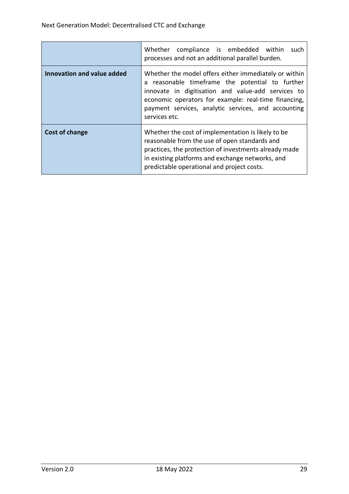|                            | Whether compliance is embedded within<br>such<br>processes and not an additional parallel burden.                                                                                                                                                                                              |
|----------------------------|------------------------------------------------------------------------------------------------------------------------------------------------------------------------------------------------------------------------------------------------------------------------------------------------|
| Innovation and value added | Whether the model offers either immediately or within<br>a reasonable timeframe the potential to further<br>innovate in digitisation and value-add services to<br>economic operators for example: real-time financing,<br>payment services, analytic services, and accounting<br>services etc. |
| Cost of change             | Whether the cost of implementation is likely to be<br>reasonable from the use of open standards and<br>practices, the protection of investments already made<br>in existing platforms and exchange networks, and<br>predictable operational and project costs.                                 |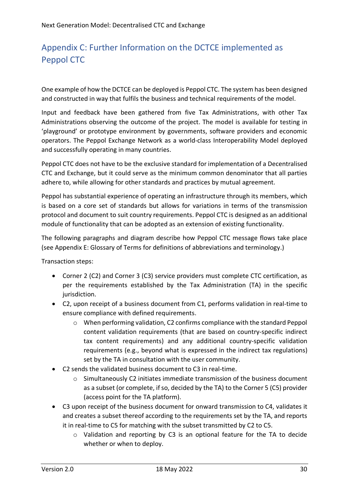# <span id="page-30-0"></span>Appendix C: Further Information on the DCTCE implemented as Peppol CTC

One example of how the DCTCE can be deployed is Peppol CTC. The system has been designed and constructed in way that fulfils the business and technical requirements of the model.

Input and feedback have been gathered from five Tax Administrations, with other Tax Administrations observing the outcome of the project. The model is available for testing in 'playground' or prototype environment by governments, software providers and economic operators. The Peppol Exchange Network as a world-class Interoperability Model deployed and successfully operating in many countries.

Peppol CTC does not have to be the exclusive standard for implementation of a Decentralised CTC and Exchange, but it could serve as the minimum common denominator that all parties adhere to, while allowing for other standards and practices by mutual agreement.

Peppol has substantial experience of operating an infrastructure through its members, which is based on a core set of standards but allows for variations in terms of the transmission protocol and document to suit country requirements. Peppol CTC is designed as an additional module of functionality that can be adopted as an extension of existing functionality.

The following paragraphs and diagram describe how Peppol CTC message flows take place (see Appendix E: Glossary of Terms for definitions of abbreviations and terminology.)

Transaction steps:

- Corner 2 (C2) and Corner 3 (C3) service providers must complete CTC certification, as per the requirements established by the Tax Administration (TA) in the specific jurisdiction.
- C2, upon receipt of a business document from C1, performs validation in real-time to ensure compliance with defined requirements.
	- o When performing validation, C2 confirms compliance with the standard Peppol content validation requirements (that are based on country-specific indirect tax content requirements) and any additional country-specific validation requirements (e.g., beyond what is expressed in the indirect tax regulations) set by the TA in consultation with the user community.
- C2 sends the validated business document to C3 in real-time.
	- $\circ$  Simultaneously C2 initiates immediate transmission of the business document as a subset (or complete, if so, decided by the TA) to the Corner 5 (C5) provider (access point for the TA platform).
- C3 upon receipt of the business document for onward transmission to C4, validates it and creates a subset thereof according to the requirements set by the TA, and reports it in real-time to C5 for matching with the subset transmitted by C2 to C5.
	- o Validation and reporting by C3 is an optional feature for the TA to decide whether or when to deploy.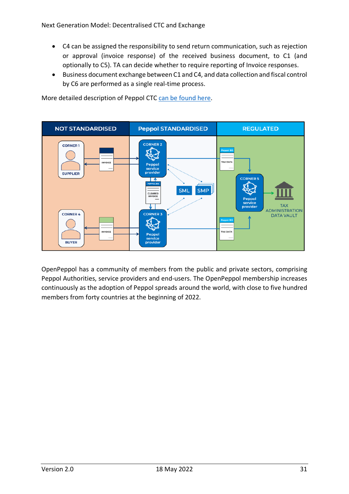- C4 can be assigned the responsibility to send return communication, such as rejection or approval (invoice response) of the received business document, to C1 (and optionally to C5). TA can decide whether to require reporting of Invoice responses.
- Business document exchange between C1 and C4, and data collection and fiscal control by C6 are performed as a single real-time process.

**NOT STANDARDISED Peppol STANDARDISED REGULATED CORNER 2 CORNER1 TAX DATA** Peppo **SUPPLIER CORNER 5** ⊺↑ **SML SMP CLEARED**<br>INVOICE TΓ **TAX ADMINISTRATION CORNER 4 CORNER 3 DATA VAULT** TAX DATA **BUYER** provid

More detailed description of Peppol CTC [can be found here.](https://peppol.eu/downloads/peppol-ctc/)

OpenPeppol has a community of members from the public and private sectors, comprising Peppol Authorities, service providers and end-users. The OpenPeppol membership increases continuously as the adoption of Peppol spreads around the world, with close to five hundred members from forty countries at the beginning of 2022.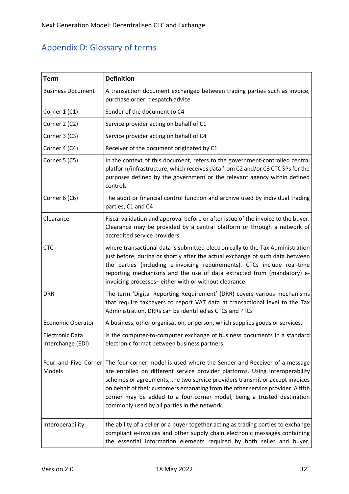# <span id="page-32-0"></span>Appendix D: Glossary of terms

| Term                                        | <b>Definition</b>                                                                                                                                                                                                                                                                                                                                                                                                                                                           |  |  |
|---------------------------------------------|-----------------------------------------------------------------------------------------------------------------------------------------------------------------------------------------------------------------------------------------------------------------------------------------------------------------------------------------------------------------------------------------------------------------------------------------------------------------------------|--|--|
| <b>Business Document</b>                    | A transaction document exchanged between trading parties such as invoice,<br>purchase order, despatch advice                                                                                                                                                                                                                                                                                                                                                                |  |  |
| Corner 1 (C1)                               | Sender of the document to C4                                                                                                                                                                                                                                                                                                                                                                                                                                                |  |  |
| Corner 2 (C2)                               | Service provider acting on behalf of C1                                                                                                                                                                                                                                                                                                                                                                                                                                     |  |  |
| Corner 3 (C3)                               | Service provider acting on behalf of C4                                                                                                                                                                                                                                                                                                                                                                                                                                     |  |  |
| Corner 4 (C4)                               | Receiver of the document originated by C1                                                                                                                                                                                                                                                                                                                                                                                                                                   |  |  |
| Corner 5 (C5)                               | In the context of this document, refers to the government-controlled central<br>platform/infrastructure, which receives data from C2 and/or C3 CTC SPs for the<br>purposes defined by the government or the relevant agency within defined<br>controls                                                                                                                                                                                                                      |  |  |
| Corner 6 (C6)                               | The audit or financial control function and archive used by individual trading<br>parties, C1 and C4                                                                                                                                                                                                                                                                                                                                                                        |  |  |
| Clearance                                   | Fiscal validation and approval before or after issue of the invoice to the buyer.<br>Clearance may be provided by a central platform or through a network of<br>accredited service providers                                                                                                                                                                                                                                                                                |  |  |
| <b>CTC</b>                                  | where transactional data is submitted electronically to the Tax Administration<br>just before, during or shortly after the actual exchange of such data between<br>the parties (including e-invoicing requirements). CTCs include real-time<br>reporting mechanisms and the use of data extracted from (mandatory) e-<br>invoicing processes-either with or without clearance                                                                                               |  |  |
| <b>DRR</b>                                  | The term 'Digital Reporting Requirement' (DRR) covers various mechanisms<br>that require taxpayers to report VAT data at transactional level to the Tax<br>Administration. DRRs can be identified as CTCs and PTCs                                                                                                                                                                                                                                                          |  |  |
| <b>Economic Operator</b>                    | A business, other organisation, or person, which supplies goods or services.                                                                                                                                                                                                                                                                                                                                                                                                |  |  |
| <b>Electronic Data</b><br>Interchange (EDI) | is the computer-to-computer exchange of business documents in a standard<br>electronic format between business partners.                                                                                                                                                                                                                                                                                                                                                    |  |  |
| Models                                      | Four and Five Corner The four-corner model is used where the Sender and Receiver of a message<br>are enrolled on different service provider platforms. Using interoperability<br>schemes or agreements, the two service providers transmit or accept invoices<br>on behalf of their customers emanating from the other service provider. A fifth<br>corner may be added to a four-corner model, being a trusted destination<br>commonly used by all parties in the network. |  |  |
| Interoperability                            | the ability of a seller or a buyer together acting as trading parties to exchange<br>compliant e-invoices and other supply chain electronic messages containing<br>the essential information elements required by both seller and buyer,                                                                                                                                                                                                                                    |  |  |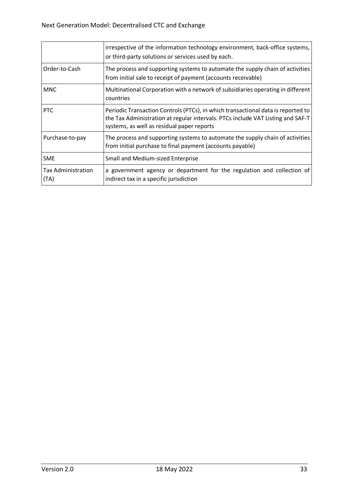|                                   | irrespective of the information technology environment, back-office systems,<br>or third-party solutions or services used by each.                                                                                |
|-----------------------------------|-------------------------------------------------------------------------------------------------------------------------------------------------------------------------------------------------------------------|
| Order-to-Cash                     | The process and supporting systems to automate the supply chain of activities<br>from initial sale to receipt of payment (accounts receivable)                                                                    |
| <b>MNC</b>                        | Multinational Corporation with a network of subsidiaries operating in different<br>countries                                                                                                                      |
| <b>PTC</b>                        | Periodic Transaction Controls (PTCs), in which transactional data is reported to<br>the Tax Administration at regular intervals. PTCs include VAT Listing and SAF-T<br>systems, as well as residual paper reports |
| Purchase-to-pay                   | The process and supporting systems to automate the supply chain of activities<br>from initial purchase to final payment (accounts payable)                                                                        |
| <b>SME</b>                        | <b>Small and Medium-sized Enterprise</b>                                                                                                                                                                          |
| <b>Tax Administration</b><br>(TA) | a government agency or department for the regulation and collection of<br>indirect tax in a specific jurisdiction                                                                                                 |